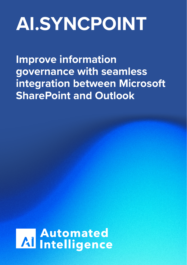# **AI.SYNCPOINT**

**Improve information governance with seamless integration between Microsoft SharePoint and Outlook**

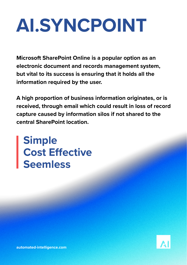# **AI.SYNCPOINT**

**Microsoft SharePoint Online is a popular option as an electronic document and records management system, but vital to its success is ensuring that it holds all the information required by the user.**

**A high proportion of business information originates, or is received, through email which could result in loss of record capture caused by information silos if not shared to the central SharePoint location.**

**Simple Cost Effective Seemless**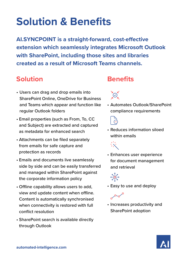## **Solution & Benefits**

**AI.SYNCPOINT is a straight-forward, cost-effective extension which seamlessly integrates Microsoft Outlook with SharePoint, including those sites and libraries created as a result of Microsoft Teams channels.**

#### **Solution**

- Users can drag and drop emails into SharePoint Online, OneDrive for Business and Teams which appear and function like regular Outlook folders
- Email properties (such as From, To, CC and Subject) are extracted and captured as metadata for enhanced search
- Attachments can be filed separately from emails for safe capture and protection as records
- Emails and documents live seamlessly side by side and can be easily transferred and managed within SharePoint against the corporate information policy
- Offline capability allows users to add, view and update content when offline. Content is automatically synchronised when connectivity is restored with full conflict resolution
- SharePoint search is available directly through Outlook

#### **Benefits**



• Automates Outlook/SharePoint compliance requirements



• Reduces information siloed within emails

• Enhances user experience for document management and retrieval



lado

• Easy to use and deploy

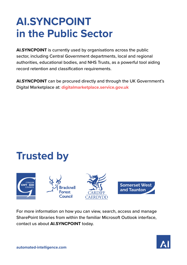### **AI.SYNCPOINT in the Public Sector**

**AI.SYNCPOINT** is currently used by organisations across the public sector, including Central Government departments, local and regional authorities, educational bodies, and NHS Trusts, as a powerful tool aiding record retention and classification requirements.

**AI.SYNCPOINT** can be procured directly and through the UK Government's Digital Marketplace at: **digitalmarketplace.service.gov.uk**

### **Trusted by**



For more information on how you can view, search, access and manage SharePoint libraries from within the familiar Microsoft Outlook interface, contact us about **AI.SYNCPOINT** today.